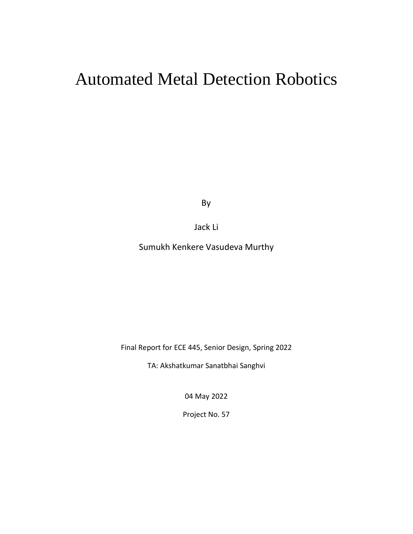# Automated Metal Detection Robotics

By

# Jack Li

Sumukh Kenkere Vasudeva Murthy

Final Report for ECE 445, Senior Design, Spring 2022

TA: Akshatkumar Sanatbhai Sanghvi

04 May 2022

Project No. 57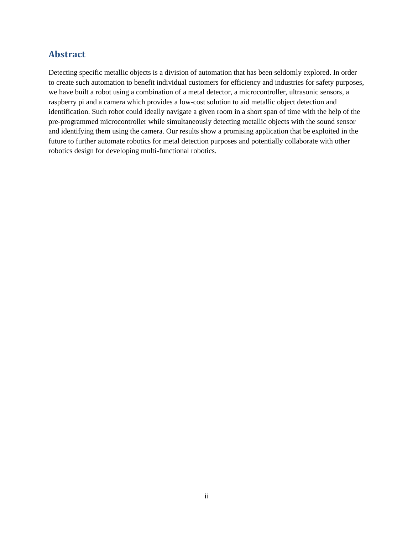# **Abstract**

Detecting specific metallic objects is a division of automation that has been seldomly explored. In order to create such automation to benefit individual customers for efficiency and industries for safety purposes, we have built a robot using a combination of a metal detector, a microcontroller, ultrasonic sensors, a raspberry pi and a camera which provides a low-cost solution to aid metallic object detection and identification. Such robot could ideally navigate a given room in a short span of time with the help of the pre-programmed microcontroller while simultaneously detecting metallic objects with the sound sensor and identifying them using the camera. Our results show a promising application that be exploited in the future to further automate robotics for metal detection purposes and potentially collaborate with other robotics design for developing multi-functional robotics.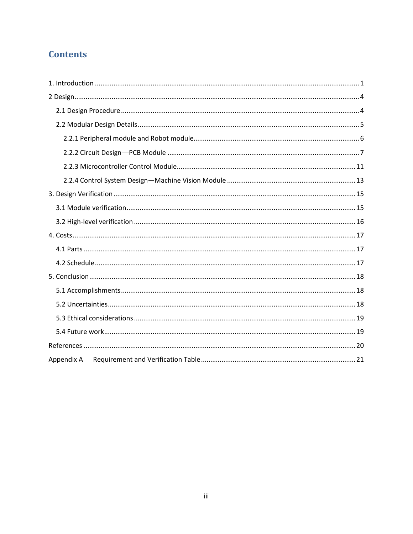# **Contents**

| Appendix A |
|------------|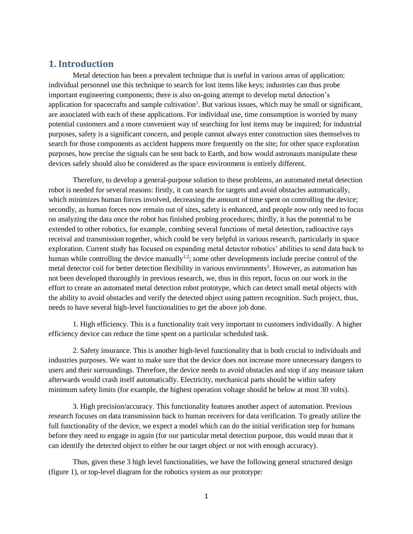# <span id="page-3-0"></span>**1. Introduction**

Metal detection has been a prevalent technique that is useful in various areas of application: individual personnel use this technique to search for lost items like keys; industries can thus probe important engineering components; there is also on-going attempt to develop metal detection's application for spacecrafts and sample cultivation<sup>1</sup>. But various issues, which may be small or significant, are associated with each of these applications. For individual use, time consumption is worried by many potential customers and a more convenient way of searching for lost items may be inquired; for industrial purposes, safety is a significant concern, and people cannot always enter construction sites themselves to search for those components as accident happens more frequently on the site; for other space exploration purposes, how precise the signals can be sent back to Earth, and how would astronauts manipulate these devices safely should also be considered as the space environment is entirely different.

Therefore, to develop a general-purpose solution to these problems, an automated metal detection robot is needed for several reasons: firstly, it can search for targets and avoid obstacles automatically, which minimizes human forces involved, decreasing the amount of time spent on controlling the device; secondly, as human forces now remain out of sites, safety is enhanced, and people now only need to focus on analyzing the data once the robot has finished probing procedures; thirdly, it has the potential to be extended to other robotics, for example, combing several functions of metal detection, radioactive rays receival and transmission together, which could be very helpful in various research, particularly in space exploration. Current study has focused on expanding metal detector robotics' abilities to send data back to human while controlling the device manually<sup>1,2</sup>; some other developments include precise control of the metal detector coil for better detection flexibility in various environments<sup>3</sup>. However, as automation has not been developed thoroughly in previous research, we, thus in this report, focus on our work in the effort to create an automated metal detection robot prototype, which can detect small metal objects with the ability to avoid obstacles and verify the detected object using pattern recognition. Such project, thus, needs to have several high-level functionalities to get the above job done.

1. High efficiency. This is a functionality trait very important to customers individually. A higher efficiency device can reduce the time spent on a particular scheduled task.

2. Safety insurance. This is another high-level functionality that is both crucial to individuals and industries purposes. We want to make sure that the device does not increase more unnecessary dangers to users and their surroundings. Therefore, the device needs to avoid obstacles and stop if any measure taken afterwards would crash itself automatically. Electricity, mechanical parts should be within safety minimum safety limits (for example, the highest operation voltage should be below at most 30 volts).

3. High precision/accuracy. This functionality features another aspect of automation. Previous research focuses on data transmission back to human receivers for data verification. To greatly utilize the full functionality of the device, we expect a model which can do the initial verification step for humans before they need to engage in again (for our particular metal detection purpose, this would mean that it can identify the detected object to either be our target object or not with enough accuracy).

Thus, given these 3 high level functionalities, we have the following general structured design (figure 1), or top-level diagram for the robotics system as our prototype: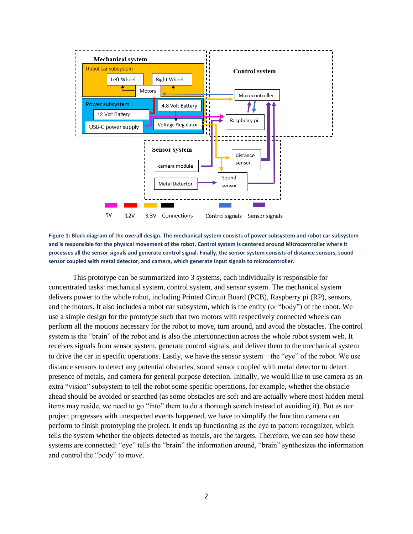

**Figure 1: Block diagram of the overall design. The mechanical system consists of power subsystem and robot car subsystem and is responsible for the physical movement of the robot. Control system is centered around Microcontroller where it processes all the sensor signals and generate control signal. Finally, the sensor system consists of distance sensors, sound sensor coupled with metal detector, and camera, which generate input signals to microcontroller.**

This prototype can be summarized into 3 systems, each individually is responsible for concentrated tasks: mechanical system, control system, and sensor system. The mechanical system delivers power to the whole robot, including Printed Circuit Board (PCB), Raspberry pi (RP), sensors, and the motors. It also includes a robot car subsystem, which is the entity (or "body") of the robot. We use a simple design for the prototype such that two motors with respectively connected wheels can perform all the motions necessary for the robot to move, turn around, and avoid the obstacles. The control system is the "brain" of the robot and is also the interconnection across the whole robot system web. It receives signals from sensor system, generate control signals, and deliver them to the mechanical system to drive the car in specific operations. Lastly, we have the sensor system—the "eye" of the robot. We use distance sensors to detect any potential obstacles, sound sensor coupled with metal detector to detect presence of metals, and camera for general purpose detection. Initially, we would like to use camera as an extra "vision" subsystem to tell the robot some specific operations, for example, whether the obstacle ahead should be avoided or searched (as some obstacles are soft and are actually where most hidden metal items may reside, we need to go "into" them to do a thorough search instead of avoiding it). But as our project progresses with unexpected events happened, we have to simplify the function camera can perform to finish prototyping the project. It ends up functioning as the eye to pattern recognizer, which tells the system whether the objects detected as metals, are the targets. Therefore, we can see how these systems are connected: "eye" tells the "brain" the information around, "brain" synthesizes the information and control the "body" to move.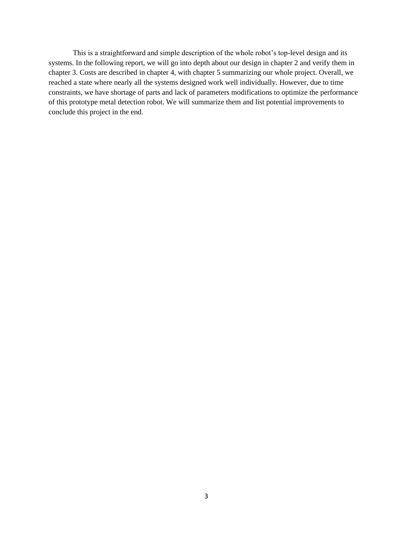This is a straightforward and simple description of the whole robot's top-level design and its systems. In the following report, we will go into depth about our design in chapter 2 and verify them in chapter 3. Costs are described in chapter 4, with chapter 5 summarizing our whole project. Overall, we reached a state where nearly all the systems designed work well individually. However, due to time constraints, we have shortage of parts and lack of parameters modifications to optimize the performance of this prototype metal detection robot. We will summarize them and list potential improvements to conclude this project in the end.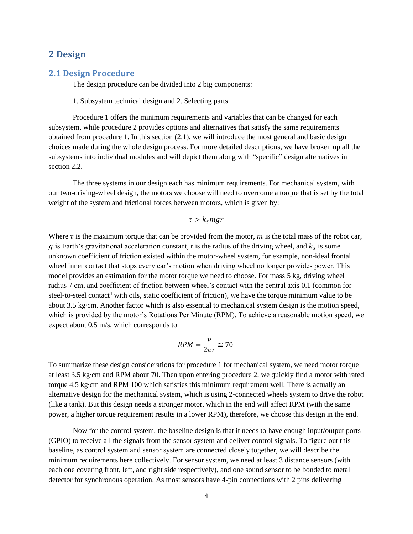### <span id="page-6-0"></span>**2 Design**

#### <span id="page-6-1"></span>**2.1 Design Procedure**

The design procedure can be divided into 2 big components:

1. Subsystem technical design and 2. Selecting parts.

Procedure 1 offers the minimum requirements and variables that can be changed for each subsystem, while procedure 2 provides options and alternatives that satisfy the same requirements obtained from procedure 1. In this section (2.1), we will introduce the most general and basic design choices made during the whole design process. For more detailed descriptions, we have broken up all the subsystems into individual modules and will depict them along with "specific" design alternatives in section 2.2.

The three systems in our design each has minimum requirements. For mechanical system, with our two-driving-wheel design, the motors we choose will need to overcome a torque that is set by the total weight of the system and frictional forces between motors, which is given by:

#### $\tau > k_{\rm s} m g r$

Where  $\tau$  is the maximum torque that can be provided from the motor,  $m$  is the total mass of the robot car, g is Earth's gravitational acceleration constant, r is the radius of the driving wheel, and  $k_s$  is some unknown coefficient of friction existed within the motor-wheel system, for example, non-ideal frontal wheel inner contact that stops every car's motion when driving wheel no longer provides power. This model provides an estimation for the motor torque we need to choose. For mass 5 kg, driving wheel radius 7 cm, and coefficient of friction between wheel's contact with the central axis 0.1 (common for steel-to-steel contact<sup>4</sup> with oils, static coefficient of friction), we have the torque minimum value to be about 3.5 kg∙cm. Another factor which is also essential to mechanical system design is the motion speed, which is provided by the motor's Rotations Per Minute (RPM). To achieve a reasonable motion speed, we expect about 0.5 m/s, which corresponds to

$$
RPM = \frac{v}{2\pi r} \cong 70
$$

To summarize these design considerations for procedure 1 for mechanical system, we need motor torque at least 3.5 kg∙cm and RPM about 70. Then upon entering procedure 2, we quickly find a motor with rated torque 4.5 kg∙cm and RPM 100 which satisfies this minimum requirement well. There is actually an alternative design for the mechanical system, which is using 2-connected wheels system to drive the robot (like a tank). But this design needs a stronger motor, which in the end will affect RPM (with the same power, a higher torque requirement results in a lower RPM), therefore, we choose this design in the end.

Now for the control system, the baseline design is that it needs to have enough input/output ports (GPIO) to receive all the signals from the sensor system and deliver control signals. To figure out this baseline, as control system and sensor system are connected closely together, we will describe the minimum requirements here collectively. For sensor system, we need at least 3 distance sensors (with each one covering front, left, and right side respectively), and one sound sensor to be bonded to metal detector for synchronous operation. As most sensors have 4-pin connections with 2 pins delivering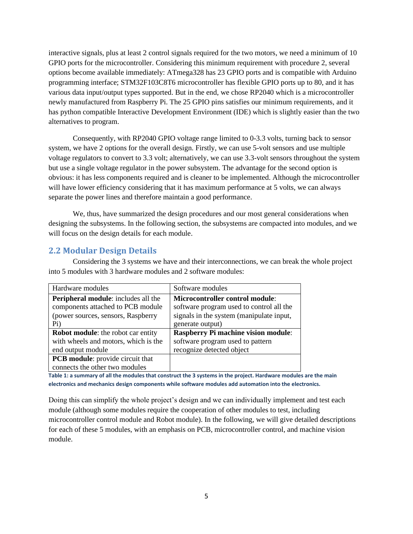interactive signals, plus at least 2 control signals required for the two motors, we need a minimum of 10 GPIO ports for the microcontroller. Considering this minimum requirement with procedure 2, several options become available immediately: ATmega328 has 23 GPIO ports and is compatible with Arduino programming interface; STM32F103C8T6 microcontroller has flexible GPIO ports up to 80, and it has various data input/output types supported. But in the end, we chose RP2040 which is a microcontroller newly manufactured from Raspberry Pi. The 25 GPIO pins satisfies our minimum requirements, and it has python compatible Interactive Development Environment (IDE) which is slightly easier than the two alternatives to program.

Consequently, with RP2040 GPIO voltage range limited to 0-3.3 volts, turning back to sensor system, we have 2 options for the overall design. Firstly, we can use 5-volt sensors and use multiple voltage regulators to convert to 3.3 volt; alternatively, we can use 3.3-volt sensors throughout the system but use a single voltage regulator in the power subsystem. The advantage for the second option is obvious: it has less components required and is cleaner to be implemented. Although the microcontroller will have lower efficiency considering that it has maximum performance at 5 volts, we can always separate the power lines and therefore maintain a good performance.

We, thus, have summarized the design procedures and our most general considerations when designing the subsystems. In the following section, the subsystems are compacted into modules, and we will focus on the design details for each module.

# <span id="page-7-0"></span>**2.2 Modular Design Details**

Considering the 3 systems we have and their interconnections, we can break the whole project into 5 modules with 3 hardware modules and 2 software modules:

| Hardware modules                           | Software modules                           |
|--------------------------------------------|--------------------------------------------|
| <b>Peripheral module:</b> includes all the | <b>Microcontroller control module:</b>     |
| components attached to PCB module          | software program used to control all the   |
| (power sources, sensors, Raspberry         | signals in the system (manipulate input,   |
| Pi)                                        | generate output)                           |
| <b>Robot module:</b> the robot car entity  | <b>Raspberry Pi machine vision module:</b> |
| with wheels and motors, which is the       | software program used to pattern           |
| end output module                          | recognize detected object                  |
| <b>PCB</b> module: provide circuit that    |                                            |
| connects the other two modules             |                                            |

**Table 1: a summary of all the modules that construct the 3 systems in the project. Hardware modules are the main electronics and mechanics design components while software modules add automation into the electronics.**

Doing this can simplify the whole project's design and we can individually implement and test each module (although some modules require the cooperation of other modules to test, including microcontroller control module and Robot module). In the following, we will give detailed descriptions for each of these 5 modules, with an emphasis on PCB, microcontroller control, and machine vision module.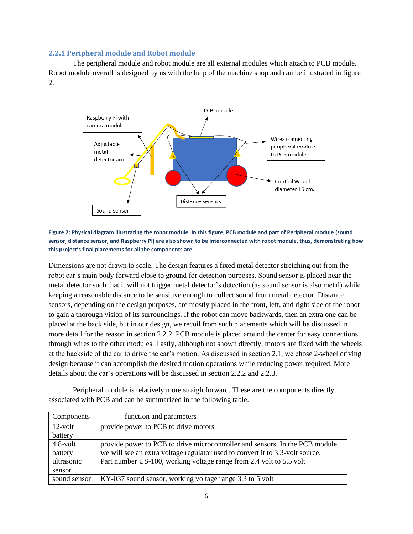#### <span id="page-8-0"></span>**2.2.1 Peripheral module and Robot module**

The peripheral module and robot module are all external modules which attach to PCB module. Robot module overall is designed by us with the help of the machine shop and can be illustrated in figure 2.



**Figure 2: Physical diagram illustrating the robot module. In this figure, PCB module and part of Peripheral module (sound sensor, distance sensor, and Raspberry Pi) are also shown to be interconnected with robot module, thus, demonstrating how this project's final placements for all the components are.** 

Dimensions are not drawn to scale. The design features a fixed metal detector stretching out from the robot car's main body forward close to ground for detection purposes. Sound sensor is placed near the metal detector such that it will not trigger metal detector's detection (as sound sensor is also metal) while keeping a reasonable distance to be sensitive enough to collect sound from metal detector. Distance sensors, depending on the design purposes, are mostly placed in the front, left, and right side of the robot to gain a thorough vision of its surroundings. If the robot can move backwards, then an extra one can be placed at the back side, but in our design, we recoil from such placements which will be discussed in more detail for the reason in section 2.2.2. PCB module is placed around the center for easy connections through wires to the other modules. Lastly, although not shown directly, motors are fixed with the wheels at the backside of the car to drive the car's motion. As discussed in section 2.1, we chose 2-wheel driving design because it can accomplish the desired motion operations while reducing power required. More details about the car's operations will be discussed in section 2.2.2 and 2.2.3.

Peripheral module is relatively more straightforward. These are the components directly associated with PCB and can be summarized in the following table.

| Components   | function and parameters                                                       |
|--------------|-------------------------------------------------------------------------------|
| $12$ -volt   | provide power to PCB to drive motors                                          |
| battery      |                                                                               |
| $4.8$ -volt  | provide power to PCB to drive microcontroller and sensors. In the PCB module, |
| battery      | we will see an extra voltage regulator used to convert it to 3.3-volt source. |
| ultrasonic   | Part number US-100, working voltage range from 2.4 volt to 5.5 volt           |
| sensor       |                                                                               |
| sound sensor | KY-037 sound sensor, working voltage range 3.3 to 5 volt                      |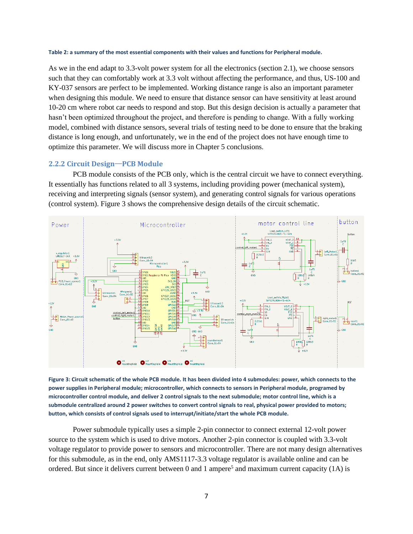#### **Table 2: a summary of the most essential components with their values and functions for Peripheral module.**

As we in the end adapt to 3.3-volt power system for all the electronics (section 2.1), we choose sensors such that they can comfortably work at 3.3 volt without affecting the performance, and thus, US-100 and KY-037 sensors are perfect to be implemented. Working distance range is also an important parameter when designing this module. We need to ensure that distance sensor can have sensitivity at least around 10-20 cm where robot car needs to respond and stop. But this design decision is actually a parameter that hasn't been optimized throughout the project, and therefore is pending to change. With a fully working model, combined with distance sensors, several trials of testing need to be done to ensure that the braking distance is long enough, and unfortunately, we in the end of the project does not have enough time to optimize this parameter. We will discuss more in Chapter 5 conclusions.

#### <span id="page-9-0"></span>**2.2.2 Circuit Design**—**PCB Module**

PCB module consists of the PCB only, which is the central circuit we have to connect everything. It essentially has functions related to all 3 systems, including providing power (mechanical system), receiving and interpreting signals (sensor system), and generating control signals for various operations (control system). Figure 3 shows the comprehensive design details of the circuit schematic.



**Figure 3: Circuit schematic of the whole PCB module. It has been divided into 4 submodules: power, which connects to the power supplies in Peripheral module; microcontroller, which connects to sensors in Peripheral module, programed by microcontroller control module, and deliver 2 control signals to the next submodule; motor control line, which is a submodule centralized around 2 power switches to convert control signals to real, physical power provided to motors; button, which consists of control signals used to interrupt/initiate/start the whole PCB module.**

Power submodule typically uses a simple 2-pin connector to connect external 12-volt power source to the system which is used to drive motors. Another 2-pin connector is coupled with 3.3-volt voltage regulator to provide power to sensors and microcontroller. There are not many design alternatives for this submodule, as in the end, only AMS1117-3.3 voltage regulator is available online and can be ordered. But since it delivers current between  $0$  and  $1$  ampere<sup>5</sup> and maximum current capacity (1A) is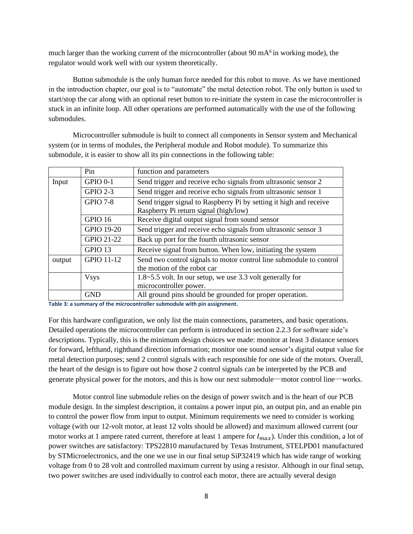much larger than the working current of the microcontroller (about 90 mA $<sup>6</sup>$  in working mode), the</sup> regulator would work well with our system theoretically.

Button submodule is the only human force needed for this robot to move. As we have mentioned in the introduction chapter, our goal is to "automate" the metal detection robot. The only button is used to start/stop the car along with an optional reset button to re-initiate the system in case the microcontroller is stuck in an infinite loop. All other operations are performed automatically with the use of the following submodules.

Microcontroller submodule is built to connect all components in Sensor system and Mechanical system (or in terms of modules, the Peripheral module and Robot module). To summarize this submodule, it is easier to show all its pin connections in the following table:

|        | Pin             | function and parameters                                             |  |
|--------|-----------------|---------------------------------------------------------------------|--|
| Input  | <b>GPIO 0-1</b> | Send trigger and receive echo signals from ultrasonic sensor 2      |  |
|        | <b>GPIO 2-3</b> | Send trigger and receive echo signals from ultrasonic sensor 1      |  |
|        | <b>GPIO 7-8</b> | Send trigger signal to Raspberry Pi by setting it high and receive  |  |
|        |                 | Raspberry Pi return signal (high/low)                               |  |
|        | GPIO 16         | Receive digital output signal from sound sensor                     |  |
|        | GPIO 19-20      | Send trigger and receive echo signals from ultrasonic sensor 3      |  |
|        | GPIO 21-22      | Back up port for the fourth ultrasonic sensor                       |  |
|        | GPIO 13         | Receive signal from button. When low, initiating the system         |  |
| output | GPIO 11-12      | Send two control signals to motor control line submodule to control |  |
|        |                 | the motion of the robot car                                         |  |
|        | <b>Vsys</b>     | 1.8~5.5 volt. In our setup, we use 3.3 volt generally for           |  |
|        |                 | microcontroller power.                                              |  |
|        | <b>GND</b>      | All ground pins should be grounded for proper operation.            |  |

**Table 3: a summary of the microcontroller submodule with pin assignment.**

For this hardware configuration, we only list the main connections, parameters, and basic operations. Detailed operations the microcontroller can perform is introduced in section 2.2.3 for software side's descriptions. Typically, this is the minimum design choices we made: monitor at least 3 distance sensors for forward, lefthand, righthand direction information; monitor one sound sensor's digital output value for metal detection purposes; send 2 control signals with each responsible for one side of the motors. Overall, the heart of the design is to figure out how those 2 control signals can be interpreted by the PCB and generate physical power for the motors, and this is how our next submodule—motor control line—works.

Motor control line submodule relies on the design of power switch and is the heart of our PCB module design. In the simplest description, it contains a power input pin, an output pin, and an enable pin to control the power flow from input to output. Minimum requirements we need to consider is working voltage (with our 12-volt motor, at least 12 volts should be allowed) and maximum allowed current (our motor works at 1 ampere rated current, therefore at least 1 ampere for  $I_{max}$ ). Under this condition, a lot of power switches are satisfactory: TPS22810 manufactured by Texas Instrument, STELPD01 manufactured by STMicroelectronics, and the one we use in our final setup SiP32419 which has wide range of working voltage from 0 to 28 volt and controlled maximum current by using a resistor. Although in our final setup, two power switches are used individually to control each motor, there are actually several design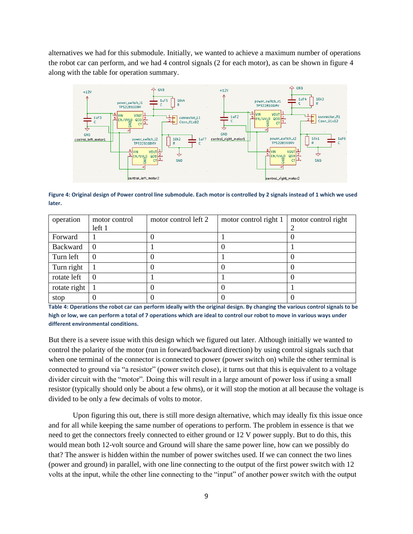alternatives we had for this submodule. Initially, we wanted to achieve a maximum number of operations the robot car can perform, and we had 4 control signals (2 for each motor), as can be shown in figure 4 along with the table for operation summary.



**Figure 4: Original design of Power control line submodule. Each motor is controlled by 2 signals instead of 1 which we used later.**

| operation    | motor control | motor control left 2 | motor control right 1 | motor control right |
|--------------|---------------|----------------------|-----------------------|---------------------|
|              | left 1        |                      |                       |                     |
| Forward      |               |                      |                       |                     |
| Backward     |               |                      |                       |                     |
| Turn left    |               |                      |                       |                     |
| Turn right   |               |                      |                       |                     |
| rotate left  |               |                      |                       |                     |
| rotate right |               |                      |                       |                     |
| stop         |               |                      |                       |                     |

**Table 4: Operations the robot car can perform ideally with the original design. By changing the various control signals to be high or low, we can perform a total of 7 operations which are ideal to control our robot to move in various ways under different environmental conditions.**

But there is a severe issue with this design which we figured out later. Although initially we wanted to control the polarity of the motor (run in forward/backward direction) by using control signals such that when one terminal of the connector is connected to power (power switch on) while the other terminal is connected to ground via "a resistor" (power switch close), it turns out that this is equivalent to a voltage divider circuit with the "motor". Doing this will result in a large amount of power loss if using a small resistor (typically should only be about a few ohms), or it will stop the motion at all because the voltage is divided to be only a few decimals of volts to motor.

Upon figuring this out, there is still more design alternative, which may ideally fix this issue once and for all while keeping the same number of operations to perform. The problem in essence is that we need to get the connectors freely connected to either ground or 12 V power supply. But to do this, this would mean both 12-volt source and Ground will share the same power line, how can we possibly do that? The answer is hidden within the number of power switches used. If we can connect the two lines (power and ground) in parallel, with one line connecting to the output of the first power switch with 12 volts at the input, while the other line connecting to the "input" of another power switch with the output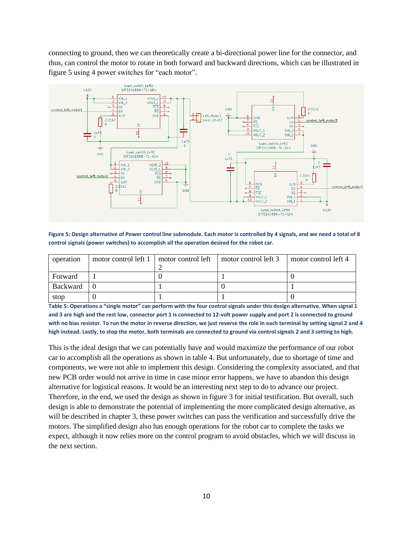connecting to ground, then we can theoretically create a bi-directional power line for the connector, and thus, can control the motor to rotate in both forward and backward directions, which can be illustrated in figure 5 using 4 power switches for "each motor".



**Figure 5: Design alternative of Power control line submodule. Each motor is controlled by 4 signals, and we need a total of 8 control signals (power switches) to accomplish all the operation desired for the robot car.** 

| operation | motor control left 1 | motor control left | motor control left 3 | motor control left 4 |
|-----------|----------------------|--------------------|----------------------|----------------------|
| Forward   |                      |                    |                      |                      |
| Backward  |                      |                    |                      |                      |
| stop      |                      |                    |                      |                      |

**Table 5: Operations a "single motor" can perform with the four control signals under this design alternative. When signal 1 and 3 are high and the rest low, connector port 1 is connected to 12-volt power supply and port 2 is connected to ground with no bias resistor. To run the motor in reverse direction, we just reverse the role in each terminal by setting signal 2 and 4 high instead. Lastly, to stop the motor, both terminals are connected to ground via control signals 2 and 3 setting to high.** 

This is the ideal design that we can potentially have and would maximize the performance of our robot car to accomplish all the operations as shown in table 4. But unfortunately, due to shortage of time and components, we were not able to implement this design. Considering the complexity associated, and that new PCB order would not arrive in time in case minor error happens, we have to abandon this design alternative for logistical reasons. It would be an interesting next step to do to advance our project. Therefore, in the end, we used the design as shown in figure 3 for initial testification. But overall, such design is able to demonstrate the potential of implementing the more complicated design alternative, as will be described in chapter 3, these power switches can pass the verification and successfully drive the motors. The simplified design also has enough operations for the robot car to complete the tasks we expect, although it now relies more on the control program to avoid obstacles, which we will discuss in the next section.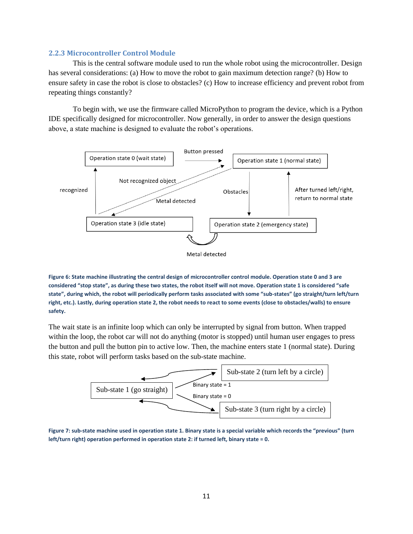#### <span id="page-13-0"></span>**2.2.3 Microcontroller Control Module**

This is the central software module used to run the whole robot using the microcontroller. Design has several considerations: (a) How to move the robot to gain maximum detection range? (b) How to ensure safety in case the robot is close to obstacles? (c) How to increase efficiency and prevent robot from repeating things constantly?

To begin with, we use the firmware called MicroPython to program the device, which is a Python IDE specifically designed for microcontroller. Now generally, in order to answer the design questions above, a state machine is designed to evaluate the robot's operations.



**Figure 6: State machine illustrating the central design of microcontroller control module. Operation state 0 and 3 are considered "stop state", as during these two states, the robot itself will not move. Operation state 1 is considered "safe state", during which, the robot will periodically perform tasks associated with some "sub-states" (go straight/turn left/turn right, etc.). Lastly, during operation state 2, the robot needs to react to some events (close to obstacles/walls) to ensure safety.**

The wait state is an infinite loop which can only be interrupted by signal from button. When trapped within the loop, the robot car will not do anything (motor is stopped) until human user engages to press the button and pull the button pin to active low. Then, the machine enters state 1 (normal state). During this state, robot will perform tasks based on the sub-state machine.



**Figure 7: sub-state machine used in operation state 1. Binary state is a special variable which records the "previous" (turn left/turn right) operation performed in operation state 2: if turned left, binary state = 0.**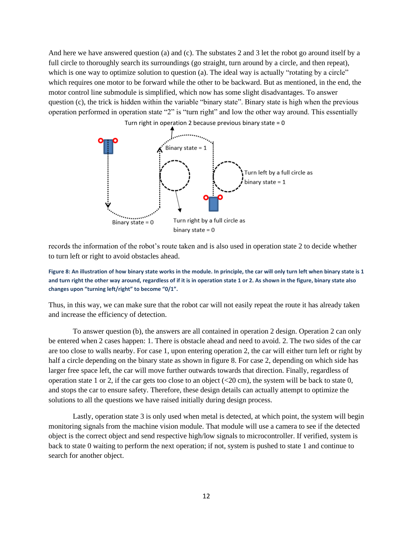And here we have answered question (a) and (c). The substates 2 and 3 let the robot go around itself by a full circle to thoroughly search its surroundings (go straight, turn around by a circle, and then repeat), which is one way to optimize solution to question (a). The ideal way is actually "rotating by a circle" which requires one motor to be forward while the other to be backward. But as mentioned, in the end, the motor control line submodule is simplified, which now has some slight disadvantages. To answer question (c), the trick is hidden within the variable "binary state". Binary state is high when the previous operation performed in operation state "2" is "turn right" and low the other way around. This essentially



records the information of the robot's route taken and is also used in operation state 2 to decide whether to turn left or right to avoid obstacles ahead.

**Figure 8: An illustration of how binary state works in the module. In principle, the car will only turn left when binary state is 1 and turn right the other way around, regardless of if it is in operation state 1 or 2. As shown in the figure, binary state also changes upon "turning left/right" to become "0/1".**

Thus, in this way, we can make sure that the robot car will not easily repeat the route it has already taken and increase the efficiency of detection.

To answer question (b), the answers are all contained in operation 2 design. Operation 2 can only be entered when 2 cases happen: 1. There is obstacle ahead and need to avoid. 2. The two sides of the car are too close to walls nearby. For case 1, upon entering operation 2, the car will either turn left or right by half a circle depending on the binary state as shown in figure 8. For case 2, depending on which side has larger free space left, the car will move further outwards towards that direction. Finally, regardless of operation state 1 or 2, if the car gets too close to an object  $( $20 \text{ cm}$ ), the system will be back to state 0,$ and stops the car to ensure safety. Therefore, these design details can actually attempt to optimize the solutions to all the questions we have raised initially during design process.

Lastly, operation state 3 is only used when metal is detected, at which point, the system will begin monitoring signals from the machine vision module. That module will use a camera to see if the detected object is the correct object and send respective high/low signals to microcontroller. If verified, system is back to state 0 waiting to perform the next operation; if not, system is pushed to state 1 and continue to search for another object.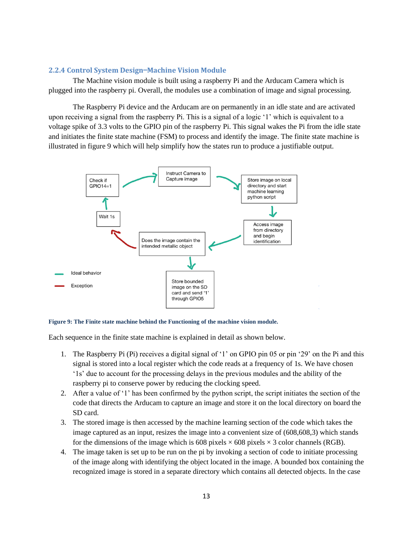#### <span id="page-15-0"></span>**2.2.4 Control System Design**—**Machine Vision Module**

The Machine vision module is built using a raspberry Pi and the Arducam Camera which is plugged into the raspberry pi. Overall, the modules use a combination of image and signal processing.

The Raspberry Pi device and the Arducam are on permanently in an idle state and are activated upon receiving a signal from the raspberry Pi. This is a signal of a logic '1' which is equivalent to a voltage spike of 3.3 volts to the GPIO pin of the raspberry Pi. This signal wakes the Pi from the idle state and initiates the finite state machine (FSM) to process and identify the image. The finite state machine is illustrated in figure 9 which will help simplify how the states run to produce a justifiable output.



**Figure 9: The Finite state machine behind the Functioning of the machine vision module.**

Each sequence in the finite state machine is explained in detail as shown below.

- 1. The Raspberry Pi (Pi) receives a digital signal of '1' on GPIO pin 05 or pin '29' on the Pi and this signal is stored into a local register which the code reads at a frequency of 1s. We have chosen '1s' due to account for the processing delays in the previous modules and the ability of the raspberry pi to conserve power by reducing the clocking speed.
- 2. After a value of '1' has been confirmed by the python script, the script initiates the section of the code that directs the Arducam to capture an image and store it on the local directory on board the SD card.
- 3. The stored image is then accessed by the machine learning section of the code which takes the image captured as an input, resizes the image into a convenient size of (608,608,3) which stands for the dimensions of the image which is 608 pixels  $\times$  608 pixels  $\times$  3 color channels (RGB).
- 4. The image taken is set up to be run on the pi by invoking a section of code to initiate processing of the image along with identifying the object located in the image. A bounded box containing the recognized image is stored in a separate directory which contains all detected objects. In the case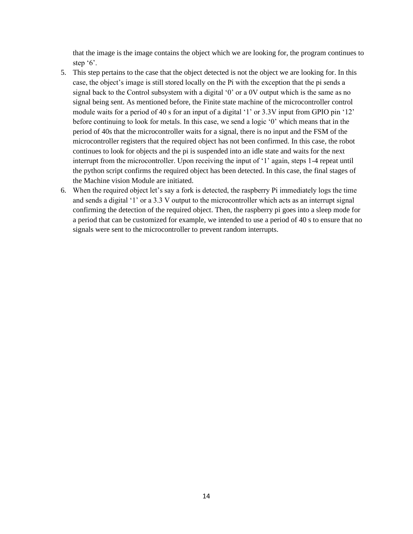that the image is the image contains the object which we are looking for, the program continues to step '6'.

- 5. This step pertains to the case that the object detected is not the object we are looking for. In this case, the object's image is still stored locally on the Pi with the exception that the pi sends a signal back to the Control subsystem with a digital  $\theta$  or a 0V output which is the same as no signal being sent. As mentioned before, the Finite state machine of the microcontroller control module waits for a period of 40 s for an input of a digital '1' or 3.3V input from GPIO pin '12' before continuing to look for metals. In this case, we send a logic '0' which means that in the period of 40s that the microcontroller waits for a signal, there is no input and the FSM of the microcontroller registers that the required object has not been confirmed. In this case, the robot continues to look for objects and the pi is suspended into an idle state and waits for the next interrupt from the microcontroller. Upon receiving the input of '1' again, steps 1-4 repeat until the python script confirms the required object has been detected. In this case, the final stages of the Machine vision Module are initiated.
- 6. When the required object let's say a fork is detected, the raspberry Pi immediately logs the time and sends a digital '1' or a 3.3 V output to the microcontroller which acts as an interrupt signal confirming the detection of the required object. Then, the raspberry pi goes into a sleep mode for a period that can be customized for example, we intended to use a period of 40 s to ensure that no signals were sent to the microcontroller to prevent random interrupts.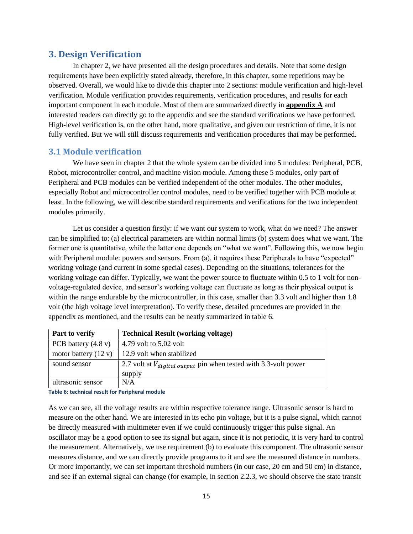# <span id="page-17-0"></span>**3. Design Verification**

In chapter 2, we have presented all the design procedures and details. Note that some design requirements have been explicitly stated already, therefore, in this chapter, some repetitions may be observed. Overall, we would like to divide this chapter into 2 sections: module verification and high-level verification. Module verification provides requirements, verification procedures, and results for each important component in each module. Most of them are summarized directly in **appendix A** and interested readers can directly go to the appendix and see the standard verifications we have performed. High-level verification is, on the other hand, more qualitative, and given our restriction of time, it is not fully verified. But we will still discuss requirements and verification procedures that may be performed.

# <span id="page-17-1"></span>**3.1 Module verification**

We have seen in chapter 2 that the whole system can be divided into 5 modules: Peripheral, PCB, Robot, microcontroller control, and machine vision module. Among these 5 modules, only part of Peripheral and PCB modules can be verified independent of the other modules. The other modules, especially Robot and microcontroller control modules, need to be verified together with PCB module at least. In the following, we will describe standard requirements and verifications for the two independent modules primarily.

Let us consider a question firstly: if we want our system to work, what do we need? The answer can be simplified to: (a) electrical parameters are within normal limits (b) system does what we want. The former one is quantitative, while the latter one depends on "what we want". Following this, we now begin with Peripheral module: powers and sensors. From (a), it requires these Peripherals to have "expected" working voltage (and current in some special cases). Depending on the situations, tolerances for the working voltage can differ. Typically, we want the power source to fluctuate within 0.5 to 1 volt for nonvoltage-regulated device, and sensor's working voltage can fluctuate as long as their physical output is within the range endurable by the microcontroller, in this case, smaller than 3.3 volt and higher than 1.8 volt (the high voltage level interpretation). To verify these, detailed procedures are provided in the appendix as mentioned, and the results can be neatly summarized in table 6.

| <b>Part to verify</b>         | <b>Technical Result (working voltage)</b>                                       |
|-------------------------------|---------------------------------------------------------------------------------|
| PCB battery $(4.8 \text{ v})$ | 4.79 volt to 5.02 volt                                                          |
| motor battery $(12 v)$        | 12.9 volt when stabilized                                                       |
| sound sensor                  | 2.7 volt at $V_{digital\ output}$ pin when tested with 3.3-volt power<br>supply |
| ultrasonic sensor             | N/A                                                                             |

**Table 6: technical result for Peripheral module**

As we can see, all the voltage results are within respective tolerance range. Ultrasonic sensor is hard to measure on the other hand. We are interested in its echo pin voltage, but it is a pulse signal, which cannot be directly measured with multimeter even if we could continuously trigger this pulse signal. An oscillator may be a good option to see its signal but again, since it is not periodic, it is very hard to control the measurement. Alternatively, we use requirement (b) to evaluate this component. The ultrasonic sensor measures distance, and we can directly provide programs to it and see the measured distance in numbers. Or more importantly, we can set important threshold numbers (in our case, 20 cm and 50 cm) in distance, and see if an external signal can change (for example, in section 2.2.3, we should observe the state transit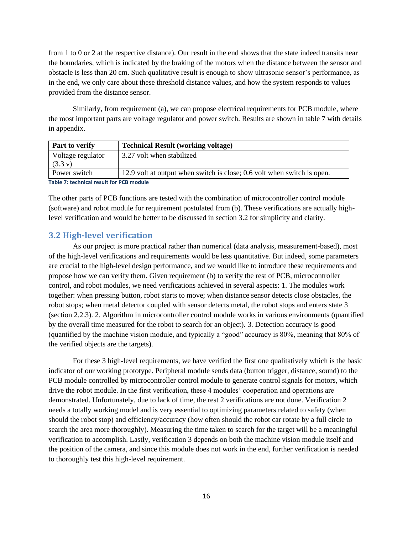from 1 to 0 or 2 at the respective distance). Our result in the end shows that the state indeed transits near the boundaries, which is indicated by the braking of the motors when the distance between the sensor and obstacle is less than 20 cm. Such qualitative result is enough to show ultrasonic sensor's performance, as in the end, we only care about these threshold distance values, and how the system responds to values provided from the distance sensor.

Similarly, from requirement (a), we can propose electrical requirements for PCB module, where the most important parts are voltage regulator and power switch. Results are shown in table 7 with details in appendix.

| <b>Part to verify</b>                    | <b>Technical Result (working voltage)</b>                               |  |  |
|------------------------------------------|-------------------------------------------------------------------------|--|--|
| Voltage regulator<br>$(3.3 \text{ v})$   | 3.27 volt when stabilized                                               |  |  |
| Power switch                             | 12.9 volt at output when switch is close; 0.6 volt when switch is open. |  |  |
| Table 7: technical result for PCB module |                                                                         |  |  |

The other parts of PCB functions are tested with the combination of microcontroller control module (software) and robot module for requirement postulated from (b). These verifications are actually highlevel verification and would be better to be discussed in section 3.2 for simplicity and clarity.

# <span id="page-18-0"></span>**3.2 High-level verification**

As our project is more practical rather than numerical (data analysis, measurement-based), most of the high-level verifications and requirements would be less quantitative. But indeed, some parameters are crucial to the high-level design performance, and we would like to introduce these requirements and propose how we can verify them. Given requirement (b) to verify the rest of PCB, microcontroller control, and robot modules, we need verifications achieved in several aspects: 1. The modules work together: when pressing button, robot starts to move; when distance sensor detects close obstacles, the robot stops; when metal detector coupled with sensor detects metal, the robot stops and enters state 3 (section 2.2.3). 2. Algorithm in microcontroller control module works in various environments (quantified by the overall time measured for the robot to search for an object). 3. Detection accuracy is good (quantified by the machine vision module, and typically a "good" accuracy is 80%, meaning that 80% of the verified objects are the targets).

For these 3 high-level requirements, we have verified the first one qualitatively which is the basic indicator of our working prototype. Peripheral module sends data (button trigger, distance, sound) to the PCB module controlled by microcontroller control module to generate control signals for motors, which drive the robot module. In the first verification, these 4 modules' cooperation and operations are demonstrated. Unfortunately, due to lack of time, the rest 2 verifications are not done. Verification 2 needs a totally working model and is very essential to optimizing parameters related to safety (when should the robot stop) and efficiency/accuracy (how often should the robot car rotate by a full circle to search the area more thoroughly). Measuring the time taken to search for the target will be a meaningful verification to accomplish. Lastly, verification 3 depends on both the machine vision module itself and the position of the camera, and since this module does not work in the end, further verification is needed to thoroughly test this high-level requirement.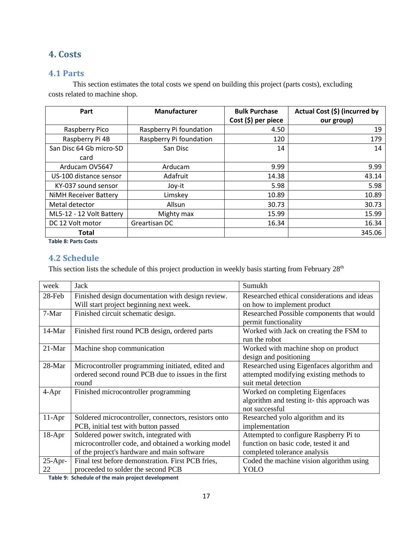# <span id="page-19-0"></span>**4. Costs**

# <span id="page-19-1"></span>**4.1 Parts**

This section estimates the total costs we spend on building this project (parts costs), excluding costs related to machine shop.

| Part                         | Manufacturer            | <b>Bulk Purchase</b> | Actual Cost (\$) (incurred by |
|------------------------------|-------------------------|----------------------|-------------------------------|
|                              |                         | Cost (\$) per piece  | our group)                    |
| Raspberry Pico               | Raspberry Pi foundation | 4.50                 | 19                            |
| Raspberry Pi 4B              | Raspberry Pi foundation | 120                  | 179                           |
| San Disc 64 Gb micro-SD      | San Disc                | 14                   | 14                            |
| card                         |                         |                      |                               |
| Arducam OV5647               | Arducam                 | 9.99                 | 9.99                          |
| US-100 distance sensor       | Adafruit                | 14.38                | 43.14                         |
| KY-037 sound sensor          | Joy-it                  | 5.98                 | 5.98                          |
| <b>NiMH Receiver Battery</b> | Limskey                 | 10.89                | 10.89                         |
| Metal detector               | Allsun                  | 30.73                | 30.73                         |
| ML5-12 - 12 Volt Battery     | Mighty max              | 15.99                | 15.99                         |
| DC 12 Volt motor             | Greartisan DC           | 16.34                | 16.34                         |
| <b>Total</b>                 |                         |                      | 345.06                        |

**Table 8: Parts Costs**

# <span id="page-19-2"></span>**4.2 Schedule**

This section lists the schedule of this project production in weekly basis starting from February 28<sup>th</sup>

| week       | Jack                                                 | Sumukh                                                            |
|------------|------------------------------------------------------|-------------------------------------------------------------------|
| 28-Feb     | Finished design documentation with design review.    | Researched ethical considerations and ideas                       |
|            | Will start project beginning next week.              | on how to implement product                                       |
| 7-Mar      | Finished circuit schematic design.                   | Researched Possible components that would<br>permit functionality |
| $14-Mar$   | Finished first round PCB design, ordered parts       | Worked with Jack on creating the FSM to<br>run the robot          |
| 21-Mar     | Machine shop communication                           | Worked with machine shop on product                               |
|            |                                                      | design and positioning                                            |
| 28-Mar     | Microcontroller programming initiated, edited and    | Researched using Eigenfaces algorithm and                         |
|            | ordered second round PCB due to issues in the first  | attempted modifying existing methods to                           |
|            | round                                                | suit metal detection                                              |
| $4-Apr$    | Finished microcontroller programming                 | Worked on completing Eigenfaces                                   |
|            |                                                      | algorithm and testing it-this approach was                        |
|            |                                                      | not successful                                                    |
| $11-Apr$   | Soldered microcontroller, connectors, resistors onto | Researched yolo algorithm and its                                 |
|            | PCB, initial test with button passed                 | implementation                                                    |
| $18-Apr$   | Soldered power switch, integrated with               | Attempted to configure Raspberry Pi to                            |
|            | microcontroller code, and obtained a working model   | function on basic code, tested it and                             |
|            | of the project's hardware and main software          | completed tolerance analysis                                      |
| $25$ -Apr- | Final test before demonstration. First PCB fries,    | Coded the machine vision algorithm using                          |
| 22         | proceeded to solder the second PCB                   | <b>YOLO</b>                                                       |

**Table 9: Schedule of the main project development**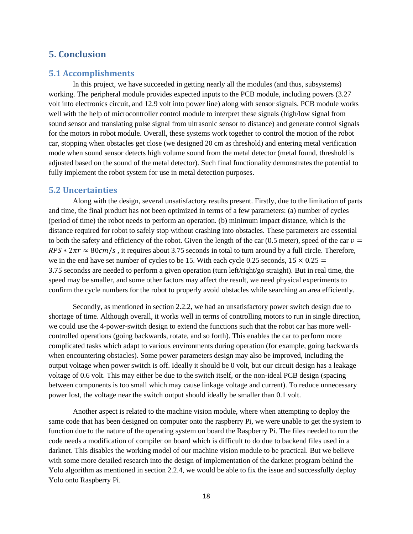# <span id="page-20-0"></span>**5. Conclusion**

#### <span id="page-20-1"></span>**5.1 Accomplishments**

In this project, we have succeeded in getting nearly all the modules (and thus, subsystems) working. The peripheral module provides expected inputs to the PCB module, including powers (3.27 volt into electronics circuit, and 12.9 volt into power line) along with sensor signals. PCB module works well with the help of microcontroller control module to interpret these signals (high/low signal from sound sensor and translating pulse signal from ultrasonic sensor to distance) and generate control signals for the motors in robot module. Overall, these systems work together to control the motion of the robot car, stopping when obstacles get close (we designed 20 cm as threshold) and entering metal verification mode when sound sensor detects high volume sound from the metal detector (metal found, threshold is adjusted based on the sound of the metal detector). Such final functionality demonstrates the potential to fully implement the robot system for use in metal detection purposes.

#### <span id="page-20-2"></span>**5.2 Uncertainties**

Along with the design, several unsatisfactory results present. Firstly, due to the limitation of parts and time, the final product has not been optimized in terms of a few parameters: (a) number of cycles (period of time) the robot needs to perform an operation. (b) minimum impact distance, which is the distance required for robot to safely stop without crashing into obstacles. These parameters are essential to both the safety and efficiency of the robot. Given the length of the car (0.5 meter), speed of the car  $v =$  $RPS * 2\pi r \approx 80 \, \text{cm/s}$ , it requires about 3.75 seconds in total to turn around by a full circle. Therefore, we in the end have set number of cycles to be 15. With each cycle 0.25 seconds,  $15 \times 0.25 =$ 3.75 secondss are needed to perform a given operation (turn left/right/go straight). But in real time, the speed may be smaller, and some other factors may affect the result, we need physical experiments to confirm the cycle numbers for the robot to properly avoid obstacles while searching an area efficiently.

Secondly, as mentioned in section 2.2.2, we had an unsatisfactory power switch design due to shortage of time. Although overall, it works well in terms of controlling motors to run in single direction, we could use the 4-power-switch design to extend the functions such that the robot car has more wellcontrolled operations (going backwards, rotate, and so forth). This enables the car to perform more complicated tasks which adapt to various environments during operation (for example, going backwards when encountering obstacles). Some power parameters design may also be improved, including the output voltage when power switch is off. Ideally it should be 0 volt, but our circuit design has a leakage voltage of 0.6 volt. This may either be due to the switch itself, or the non-ideal PCB design (spacing between components is too small which may cause linkage voltage and current). To reduce unnecessary power lost, the voltage near the switch output should ideally be smaller than 0.1 volt.

Another aspect is related to the machine vision module, where when attempting to deploy the same code that has been designed on computer onto the raspberry Pi, we were unable to get the system to function due to the nature of the operating system on board the Raspberry Pi. The files needed to run the code needs a modification of compiler on board which is difficult to do due to backend files used in a darknet. This disables the working model of our machine vision module to be practical. But we believe with some more detailed research into the design of implementation of the darknet program behind the Yolo algorithm as mentioned in section 2.2.4, we would be able to fix the issue and successfully deploy Yolo onto Raspberry Pi.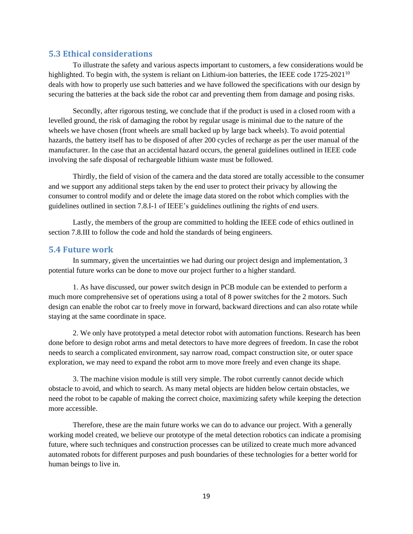#### <span id="page-21-0"></span>**5.3 Ethical considerations**

To illustrate the safety and various aspects important to customers, a few considerations would be highlighted. To begin with, the system is reliant on Lithium-ion batteries, the IEEE code 1725-2021<sup>10</sup> deals with how to properly use such batteries and we have followed the specifications with our design by securing the batteries at the back side the robot car and preventing them from damage and posing risks.

Secondly, after rigorous testing, we conclude that if the product is used in a closed room with a levelled ground, the risk of damaging the robot by regular usage is minimal due to the nature of the wheels we have chosen (front wheels are small backed up by large back wheels). To avoid potential hazards, the battery itself has to be disposed of after 200 cycles of recharge as per the user manual of the manufacturer. In the case that an accidental hazard occurs, the general guidelines outlined in IEEE code involving the safe disposal of rechargeable lithium waste must be followed.

Thirdly, the field of vision of the camera and the data stored are totally accessible to the consumer and we support any additional steps taken by the end user to protect their privacy by allowing the consumer to control modify and or delete the image data stored on the robot which complies with the guidelines outlined in section 7.8.I-1 of IEEE's guidelines outlining the rights of end users.

Lastly, the members of the group are committed to holding the IEEE code of ethics outlined in section 7.8.III to follow the code and hold the standards of being engineers.

#### <span id="page-21-1"></span>**5.4 Future work**

In summary, given the uncertainties we had during our project design and implementation, 3 potential future works can be done to move our project further to a higher standard.

1. As have discussed, our power switch design in PCB module can be extended to perform a much more comprehensive set of operations using a total of 8 power switches for the 2 motors. Such design can enable the robot car to freely move in forward, backward directions and can also rotate while staying at the same coordinate in space.

2. We only have prototyped a metal detector robot with automation functions. Research has been done before to design robot arms and metal detectors to have more degrees of freedom. In case the robot needs to search a complicated environment, say narrow road, compact construction site, or outer space exploration, we may need to expand the robot arm to move more freely and even change its shape.

3. The machine vision module is still very simple. The robot currently cannot decide which obstacle to avoid, and which to search. As many metal objects are hidden below certain obstacles, we need the robot to be capable of making the correct choice, maximizing safety while keeping the detection more accessible.

Therefore, these are the main future works we can do to advance our project. With a generally working model created, we believe our prototype of the metal detection robotics can indicate a promising future, where such techniques and construction processes can be utilized to create much more advanced automated robots for different purposes and push boundaries of these technologies for a better world for human beings to live in.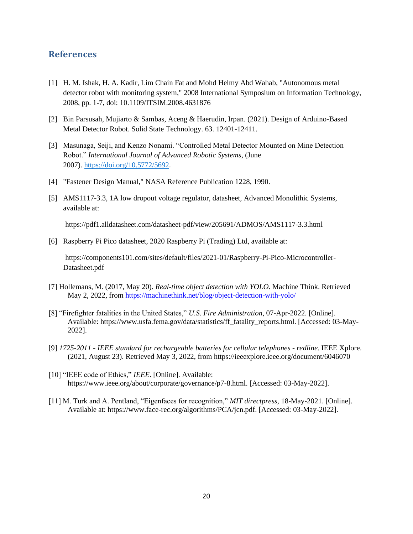# <span id="page-22-0"></span>**References**

- [1] H. M. Ishak, H. A. Kadir, Lim Chain Fat and Mohd Helmy Abd Wahab, "Autonomous metal detector robot with monitoring system," 2008 International Symposium on Information Technology, 2008, pp. 1-7, doi: 10.1109/ITSIM.2008.4631876
- [2] Bin Parsusah, Mujiarto & Sambas, Aceng & Haerudin, Irpan. (2021). Design of Arduino-Based Metal Detector Robot. Solid State Technology. 63. 12401-12411.
- [3] Masunaga, Seiji, and Kenzo Nonami. "Controlled Metal Detector Mounted on Mine Detection Robot." *International Journal of Advanced Robotic Systems*, (June 2007). [https://doi.org/10.5772/5692.](https://doi.org/10.5772/5692)
- [4] "Fastener Design Manual," NASA Reference Publication 1228, 1990.
- [5] AMS1117-3.3, 1A low dropout voltage regulator, datasheet, Advanced Monolithic Systems, available at:

https://pdf1.alldatasheet.com/datasheet-pdf/view/205691/ADMOS/AMS1117-3.3.html

[6] Raspberry Pi Pico datasheet, 2020 Raspberry Pi (Trading) Ltd, available at:

 https://components101.com/sites/default/files/2021-01/Raspberry-Pi-Pico-Microcontroller-Datasheet.pdf

- [7] Hollemans, M. (2017, May 20). *Real-time object detection with YOLO*. Machine Think. Retrieved May 2, 2022, from<https://machinethink.net/blog/object-detection-with-yolo/>
- [8] "Firefighter fatalities in the United States," *U.S. Fire Administration*, 07-Apr-2022. [Online]. Available: https://www.usfa.fema.gov/data/statistics/ff\_fatality\_reports.html. [Accessed: 03-May-2022].
- [9] *1725-2011 - IEEE standard for rechargeable batteries for cellular telephones - redline*. IEEE Xplore. (2021, August 23). Retrieved May 3, 2022, from https://ieeexplore.ieee.org/document/6046070
- [10] "IEEE code of Ethics," *IEEE*. [Online]. Available: https://www.ieee.org/about/corporate/governance/p7-8.html. [Accessed: 03-May-2022].
- [11] M. Turk and A. Pentland, "Eigenfaces for recognition," *MIT directpress*, 18-May-2021. [Online]. Available at: https://www.face-rec.org/algorithms/PCA/jcn.pdf. [Accessed: 03-May-2022].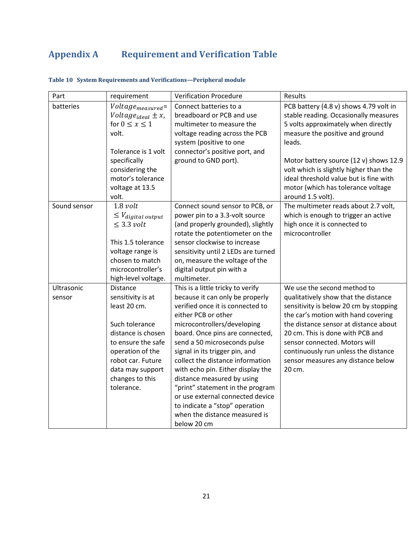# <span id="page-23-0"></span>**Appendix A Requirement and Verification Table**

| Part                 | requirement                                                                                                                                                                                               | <b>Verification Procedure</b>                                                                                                                                                                                                                                                                                                                                                                                                                                                                                                        | Results                                                                                                                                                                                                                                                                                                                                                      |
|----------------------|-----------------------------------------------------------------------------------------------------------------------------------------------------------------------------------------------------------|--------------------------------------------------------------------------------------------------------------------------------------------------------------------------------------------------------------------------------------------------------------------------------------------------------------------------------------------------------------------------------------------------------------------------------------------------------------------------------------------------------------------------------------|--------------------------------------------------------------------------------------------------------------------------------------------------------------------------------------------------------------------------------------------------------------------------------------------------------------------------------------------------------------|
| batteries            | $Voltage_{measured}$<br>Voltage <sub>ideal</sub> $\pm x$ ,<br>for $0 \leq x \leq 1$<br>volt.<br>Tolerance is 1 volt<br>specifically<br>considering the<br>motor's tolerance<br>voltage at 13.5<br>volt.   | Connect batteries to a<br>breadboard or PCB and use<br>multimeter to measure the<br>voltage reading across the PCB<br>system (positive to one<br>connector's positive port, and<br>ground to GND port).                                                                                                                                                                                                                                                                                                                              | PCB battery (4.8 v) shows 4.79 volt in<br>stable reading. Occasionally measures<br>5 volts approximately when directly<br>measure the positive and ground<br>leads.<br>Motor battery source (12 v) shows 12.9<br>volt which is slightly higher than the<br>ideal threshold value but is fine with<br>motor (which has tolerance voltage<br>around 1.5 volt). |
| Sound sensor         | $1.8$ volt<br>$\leq$ $V_{digital\ output}$<br>$\leq$ 3.3 volt<br>This 1.5 tolerance<br>voltage range is<br>chosen to match<br>microcontroller's<br>high-level voltage.                                    | Connect sound sensor to PCB, or<br>power pin to a 3.3-volt source<br>(and properly grounded), slightly<br>rotate the potentiometer on the<br>sensor clockwise to increase<br>sensitivity until 2 LEDs are turned<br>on, measure the voltage of the<br>digital output pin with a<br>multimeter.                                                                                                                                                                                                                                       | The multimeter reads about 2.7 volt,<br>which is enough to trigger an active<br>high once it is connected to<br>microcontroller                                                                                                                                                                                                                              |
| Ultrasonic<br>sensor | Distance<br>sensitivity is at<br>least 20 cm.<br>Such tolerance<br>distance is chosen<br>to ensure the safe<br>operation of the<br>robot car. Future<br>data may support<br>changes to this<br>tolerance. | This is a little tricky to verify<br>because it can only be properly<br>verified once it is connected to<br>either PCB or other<br>microcontrollers/developing<br>board. Once pins are connected,<br>send a 50 microseconds pulse<br>signal in its trigger pin, and<br>collect the distance information<br>with echo pin. Either display the<br>distance measured by using<br>"print" statement in the program<br>or use external connected device<br>to indicate a "stop" operation<br>when the distance measured is<br>below 20 cm | We use the second method to<br>qualitatively show that the distance<br>sensitivity is below 20 cm by stopping<br>the car's motion with hand covering<br>the distance sensor at distance about<br>20 cm. This is done with PCB and<br>sensor connected. Motors will<br>continuously run unless the distance<br>sensor measures any distance below<br>20 cm.   |

# **Table 10 System Requirements and Verifications—Peripheral module**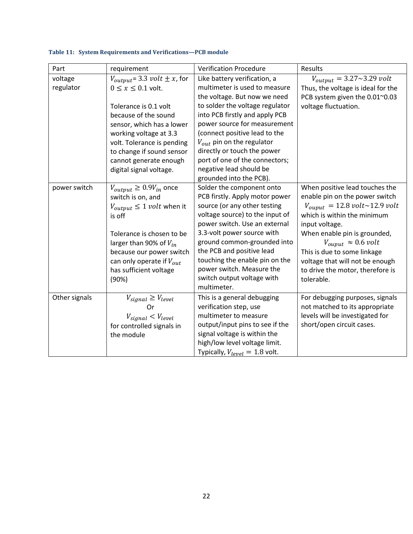| Part                 | requirement                                                                                                                                                                                                                                                                                       | <b>Verification Procedure</b>                                                                                                                                                                                                                                                                                                                                                                | Results                                                                                                                                                                                                                                                                                                                                     |
|----------------------|---------------------------------------------------------------------------------------------------------------------------------------------------------------------------------------------------------------------------------------------------------------------------------------------------|----------------------------------------------------------------------------------------------------------------------------------------------------------------------------------------------------------------------------------------------------------------------------------------------------------------------------------------------------------------------------------------------|---------------------------------------------------------------------------------------------------------------------------------------------------------------------------------------------------------------------------------------------------------------------------------------------------------------------------------------------|
| voltage<br>regulator | $V_{output}$ = 3.3 <i>volt</i> $\pm x$ , for<br>$0 \leq x \leq 0.1$ volt.<br>Tolerance is 0.1 volt<br>because of the sound<br>sensor, which has a lower<br>working voltage at 3.3<br>volt. Tolerance is pending<br>to change if sound sensor<br>cannot generate enough<br>digital signal voltage. | Like battery verification, a<br>multimeter is used to measure<br>the voltage. But now we need<br>to solder the voltage regulator<br>into PCB firstly and apply PCB<br>power source for measurement<br>(connect positive lead to the<br>$V_{out}$ pin on the regulator<br>directly or touch the power<br>port of one of the connectors;<br>negative lead should be<br>grounded into the PCB). | $V_{output} = 3.27 \sim 3.29$ volt<br>Thus, the voltage is ideal for the<br>PCB system given the 0.01~0.03<br>voltage fluctuation.                                                                                                                                                                                                          |
| power switch         | $V_{output} \geq 0.9V_{in}$ once<br>switch is on, and<br>$V_{output} \leq 1$ <i>volt</i> when it<br>is off<br>Tolerance is chosen to be<br>larger than 90% of $V_{in}$<br>because our power switch<br>can only operate if $V_{out}$<br>has sufficient voltage<br>(90%)                            | Solder the component onto<br>PCB firstly. Apply motor power<br>source (or any other testing<br>voltage source) to the input of<br>power switch. Use an external<br>3.3-volt power source with<br>ground common-grounded into<br>the PCB and positive lead<br>touching the enable pin on the<br>power switch. Measure the<br>switch output voltage with<br>multimeter.                        | When positive lead touches the<br>enable pin on the power switch<br>$V_{ouput}$ = 12.8 volt~12.9 volt<br>which is within the minimum<br>input voltage.<br>When enable pin is grounded,<br>$V_{output} \approx 0.6$ volt<br>This is due to some linkage<br>voltage that will not be enough<br>to drive the motor, therefore is<br>tolerable. |
| Other signals        | $V_{signal} \geq V_{level}$<br>Or<br>$V_{signal} < V_{level}$<br>for controlled signals in<br>the module                                                                                                                                                                                          | This is a general debugging<br>verification step, use<br>multimeter to measure<br>output/input pins to see if the<br>signal voltage is within the<br>high/low level voltage limit.<br>Typically, $V_{level} = 1.8$ volt.                                                                                                                                                                     | For debugging purposes, signals<br>not matched to its appropriate<br>levels will be investigated for<br>short/open circuit cases.                                                                                                                                                                                                           |

#### **Table 11: System Requirements and Verifications—PCB module**